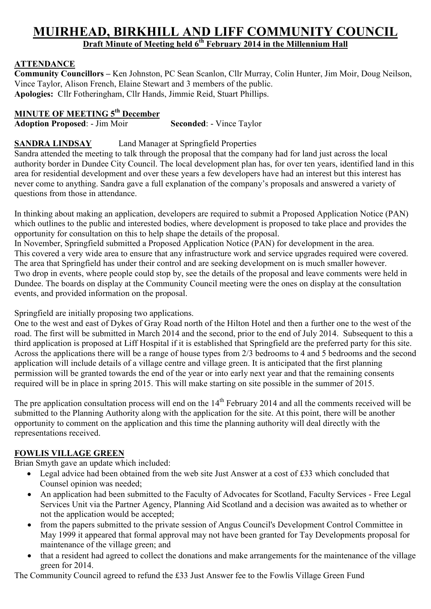# **MUIRHEAD, BIRKHILL AND LIFF COMMUNITY COUNCIL Draft Minute of Meeting held 6th February 2014 in the Millennium Hall**

# **ATTENDANCE**

**Community Councillors –** Ken Johnston, PC Sean Scanlon, Cllr Murray, Colin Hunter, Jim Moir, Doug Neilson, Vince Taylor, Alison French, Elaine Stewart and 3 members of the public. **Apologies:** Cllr Fotheringham, Cllr Hands, Jimmie Reid, Stuart Phillips.

## **MINUTE OF MEETING 5th December**

**Adoption Proposed:** - Jim Moir **Seconded:** - Vince Taylor

#### **SANDRA LINDSAY** Land Manager at Springfield Properties

Sandra attended the meeting to talk through the proposal that the company had for land just across the local authority border in Dundee City Council. The local development plan has, for over ten years, identified land in this area for residential development and over these years a few developers have had an interest but this interest has never come to anything. Sandra gave a full explanation of the company's proposals and answered a variety of questions from those in attendance.

In thinking about making an application, developers are required to submit a Proposed Application Notice (PAN) which outlines to the public and interested bodies, where development is proposed to take place and provides the opportunity for consultation on this to help shape the details of the proposal.

In November, Springfield submitted a Proposed Application Notice (PAN) for development in the area. This covered a very wide area to ensure that any infrastructure work and service upgrades required were covered. The area that Springfield has under their control and are seeking development on is much smaller however. Two drop in events, where people could stop by, see the details of the proposal and leave comments were held in Dundee. The boards on display at the Community Council meeting were the ones on display at the consultation events, and provided information on the proposal.

#### Springfield are initially proposing two applications.

One to the west and east of Dykes of Gray Road north of the Hilton Hotel and then a further one to the west of the road. The first will be submitted in March 2014 and the second, prior to the end of July 2014. Subsequent to this a third application is proposed at Liff Hospital if it is established that Springfield are the preferred party for this site. Across the applications there will be a range of house types from 2/3 bedrooms to 4 and 5 bedrooms and the second application will include details of a village centre and village green. It is anticipated that the first planning permission will be granted towards the end of the year or into early next year and that the remaining consents required will be in place in spring 2015. This will make starting on site possible in the summer of 2015.

The pre application consultation process will end on the  $14<sup>th</sup>$  February 2014 and all the comments received will be submitted to the Planning Authority along with the application for the site. At this point, there will be another opportunity to comment on the application and this time the planning authority will deal directly with the representations received.

#### **FOWLIS VILLAGE GREEN**

Brian Smyth gave an update which included:

- Legal advice had been obtained from the web site Just Answer at a cost of £33 which concluded that Counsel opinion was needed;
- An application had been submitted to the Faculty of Advocates for Scotland, Faculty Services Free Legal Services Unit via the Partner Agency, Planning Aid Scotland and a decision was awaited as to whether or not the application would be accepted;
- from the papers submitted to the private session of Angus Council's Development Control Committee in May 1999 it appeared that formal approval may not have been granted for Tay Developments proposal for maintenance of the village green; and
- that a resident had agreed to collect the donations and make arrangements for the maintenance of the village green for 2014.

The Community Council agreed to refund the £33 Just Answer fee to the Fowlis Village Green Fund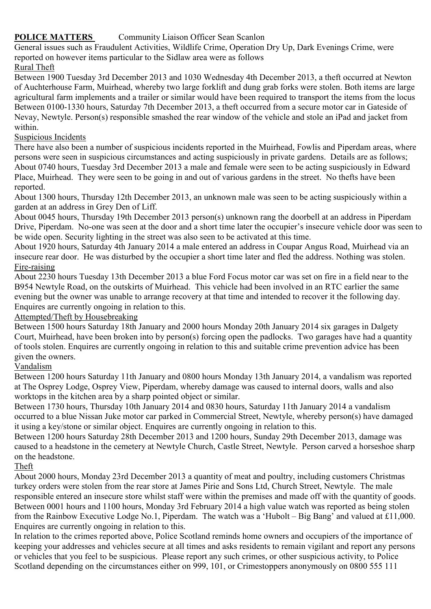### **POLICE MATTERS** Community Liaison Officer Sean Scanlon

General issues such as Fraudulent Activities, Wildlife Crime, Operation Dry Up, Dark Evenings Crime, were reported on however items particular to the Sidlaw area were as follows

#### Rural Theft

Between 1900 Tuesday 3rd December 2013 and 1030 Wednesday 4th December 2013, a theft occurred at Newton of Auchterhouse Farm, Muirhead, whereby two large forklift and dung grab forks were stolen. Both items are large agricultural farm implements and a trailer or similar would have been required to transport the items from the locus Between 0100-1330 hours, Saturday 7th December 2013, a theft occurred from a secure motor car in Gateside of Nevay, Newtyle. Person(s) responsible smashed the rear window of the vehicle and stole an iPad and jacket from within.

#### Suspicious Incidents

There have also been a number of suspicious incidents reported in the Muirhead, Fowlis and Piperdam areas, where persons were seen in suspicious circumstances and acting suspiciously in private gardens. Details are as follows; About 0740 hours, Tuesday 3rd December 2013 a male and female were seen to be acting suspiciously in Edward Place, Muirhead. They were seen to be going in and out of various gardens in the street. No thefts have been reported.

About 1300 hours, Thursday 12th December 2013, an unknown male was seen to be acting suspiciously within a garden at an address in Grey Den of Liff.

About 0045 hours, Thursday 19th December 2013 person(s) unknown rang the doorbell at an address in Piperdam Drive, Piperdam. No-one was seen at the door and a short time later the occupier's insecure vehicle door was seen to be wide open. Security lighting in the street was also seen to be activated at this time.

About 1920 hours, Saturday 4th January 2014 a male entered an address in Coupar Angus Road, Muirhead via an insecure rear door. He was disturbed by the occupier a short time later and fled the address. Nothing was stolen. Fire-raising

About 2230 hours Tuesday 13th December 2013 a blue Ford Focus motor car was set on fire in a field near to the B954 Newtyle Road, on the outskirts of Muirhead. This vehicle had been involved in an RTC earlier the same evening but the owner was unable to arrange recovery at that time and intended to recover it the following day. Enquires are currently ongoing in relation to this.

#### Attempted/Theft by Housebreaking

Between 1500 hours Saturday 18th January and 2000 hours Monday 20th January 2014 six garages in Dalgety Court, Muirhead, have been broken into by person(s) forcing open the padlocks. Two garages have had a quantity of tools stolen. Enquires are currently ongoing in relation to this and suitable crime prevention advice has been given the owners.

#### Vandalism

Between 1200 hours Saturday 11th January and 0800 hours Monday 13th January 2014, a vandalism was reported at The Osprey Lodge, Osprey View, Piperdam, whereby damage was caused to internal doors, walls and also worktops in the kitchen area by a sharp pointed object or similar.

Between 1730 hours, Thursday 10th January 2014 and 0830 hours, Saturday 11th January 2014 a vandalism occurred to a blue Nissan Juke motor car parked in Commercial Street, Newtyle, whereby person(s) have damaged it using a key/stone or similar object. Enquires are currently ongoing in relation to this.

Between 1200 hours Saturday 28th December 2013 and 1200 hours, Sunday 29th December 2013, damage was caused to a headstone in the cemetery at Newtyle Church, Castle Street, Newtyle. Person carved a horseshoe sharp on the headstone.

#### Theft

About 2000 hours, Monday 23rd December 2013 a quantity of meat and poultry, including customers Christmas turkey orders were stolen from the rear store at James Pirie and Sons Ltd, Church Street, Newtyle. The male responsible entered an insecure store whilst staff were within the premises and made off with the quantity of goods. Between 0001 hours and 1100 hours, Monday 3rd February 2014 a high value watch was reported as being stolen from the Rainbow Executive Lodge No.1, Piperdam. The watch was a 'Hubolt – Big Bang' and valued at £11,000. Enquires are currently ongoing in relation to this.

In relation to the crimes reported above, Police Scotland reminds home owners and occupiers of the importance of keeping your addresses and vehicles secure at all times and asks residents to remain vigilant and report any persons or vehicles that you feel to be suspicious. Please report any such crimes, or other suspicious activity, to Police Scotland depending on the circumstances either on 999, 101, or Crimestoppers anonymously on 0800 555 111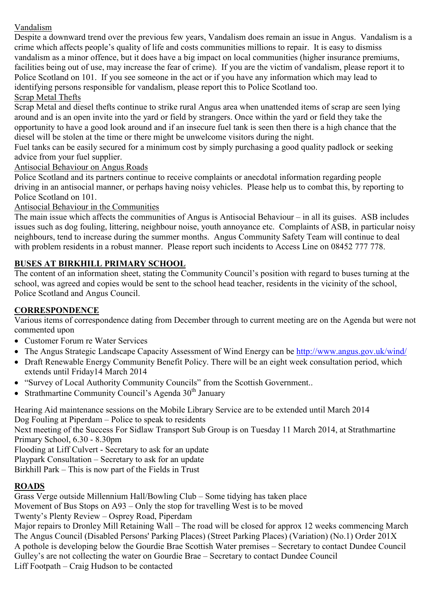## Vandalism

Despite a downward trend over the previous few years, Vandalism does remain an issue in Angus. Vandalism is a crime which affects people's quality of life and costs communities millions to repair. It is easy to dismiss vandalism as a minor offence, but it does have a big impact on local communities (higher insurance premiums, facilities being out of use, may increase the fear of crime). If you are the victim of vandalism, please report it to Police Scotland on 101. If you see someone in the act or if you have any information which may lead to identifying persons responsible for vandalism, please report this to Police Scotland too.

### Scrap Metal Thefts

Scrap Metal and diesel thefts continue to strike rural Angus area when unattended items of scrap are seen lying around and is an open invite into the yard or field by strangers. Once within the yard or field they take the opportunity to have a good look around and if an insecure fuel tank is seen then there is a high chance that the diesel will be stolen at the time or there might be unwelcome visitors during the night.

Fuel tanks can be easily secured for a minimum cost by simply purchasing a good quality padlock or seeking advice from your fuel supplier.

Antisocial Behaviour on Angus Roads

Police Scotland and its partners continue to receive complaints or anecdotal information regarding people driving in an antisocial manner, or perhaps having noisy vehicles. Please help us to combat this, by reporting to Police Scotland on 101.

#### Antisocial Behaviour in the Communities

The main issue which affects the communities of Angus is Antisocial Behaviour – in all its guises. ASB includes issues such as dog fouling, littering, neighbour noise, youth annoyance etc. Complaints of ASB, in particular noisy neighbours, tend to increase during the summer months. Angus Community Safety Team will continue to deal with problem residents in a robust manner. Please report such incidents to Access Line on 08452 777 778.

## **BUSES AT BIRKHILL PRIMARY SCHOOL**

The content of an information sheet, stating the Community Council's position with regard to buses turning at the school, was agreed and copies would be sent to the school head teacher, residents in the vicinity of the school, Police Scotland and Angus Council.

#### **CORRESPONDENCE**

Various items of correspondence dating from December through to current meeting are on the Agenda but were not commented upon

- Customer Forum re Water Services
- The Angus Strategic Landscape Capacity Assessment of Wind Energy can be http://www.angus.gov.uk/wind/
- Draft Renewable Energy Community Benefit Policy. There will be an eight week consultation period, which extends until Friday14 March 2014
- "Survey of Local Authority Community Councils" from the Scottish Government..
- Strathmartine Community Council's Agenda  $30<sup>th</sup>$  January

Hearing Aid maintenance sessions on the Mobile Library Service are to be extended until March 2014 Dog Fouling at Piperdam – Police to speak to residents Next meeting of the Success For Sidlaw Transport Sub Group is on Tuesday 11 March 2014, at Strathmartine Primary School, 6.30 - 8.30pm Flooding at Liff Culvert - Secretary to ask for an update Playpark Consultation – Secretary to ask for an update Birkhill Park – This is now part of the Fields in Trust

#### **ROADS**

Grass Verge outside Millennium Hall/Bowling Club – Some tidying has taken place Movement of Bus Stops on A93 – Only the stop for travelling West is to be moved Twenty's Plenty Review – Osprey Road, Piperdam Major repairs to Dronley Mill Retaining Wall – The road will be closed for approx 12 weeks commencing March The Angus Council (Disabled Persons' Parking Places) (Street Parking Places) (Variation) (No.1) Order 201X A pothole is developing below the Gourdie Brae Scottish Water premises – Secretary to contact Dundee Council Gulley's are not collecting the water on Gourdie Brae – Secretary to contact Dundee Council Liff Footpath – Craig Hudson to be contacted